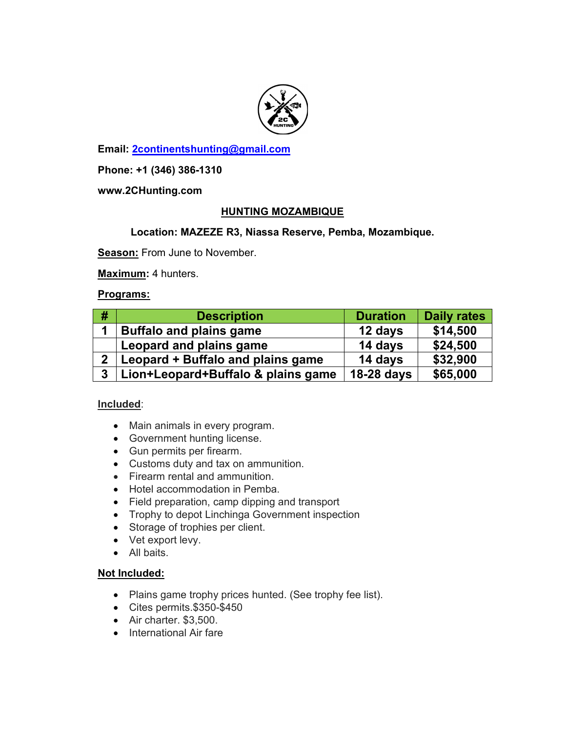

**Email: 2continentshunting@gmail.com**

**Phone: +1 (346) 386-1310** 

**www.2CHunting.com** 

## **HUNTING MOZAMBIQUE**

## **Location: MAZEZE R3, Niassa Reserve, Pemba, Mozambique.**

**Season:** From June to November.

**Maximum:** 4 hunters.

### **Programs:**

| #              | <b>Description</b>                 | <b>Duration</b> | <b>Daily rates</b> |
|----------------|------------------------------------|-----------------|--------------------|
|                | <b>Buffalo and plains game</b>     | 12 days         | \$14,500           |
|                | Leopard and plains game            | 14 days         | \$24,500           |
| $2^{\circ}$    | Leopard + Buffalo and plains game  | 14 days         | \$32,900           |
| 3 <sup>1</sup> | Lion+Leopard+Buffalo & plains game | 18-28 days      | \$65,000           |

#### **Included**:

- Main animals in every program.
- Government hunting license.
- Gun permits per firearm.
- Customs duty and tax on ammunition.
- Firearm rental and ammunition.
- Hotel accommodation in Pemba.
- Field preparation, camp dipping and transport
- Trophy to depot Linchinga Government inspection
- Storage of trophies per client.
- Vet export levy.
- All baits.

#### **Not Included:**

- Plains game trophy prices hunted. (See trophy fee list).
- Cites permits.\$350-\$450
- Air charter. \$3,500.
- International Air fare